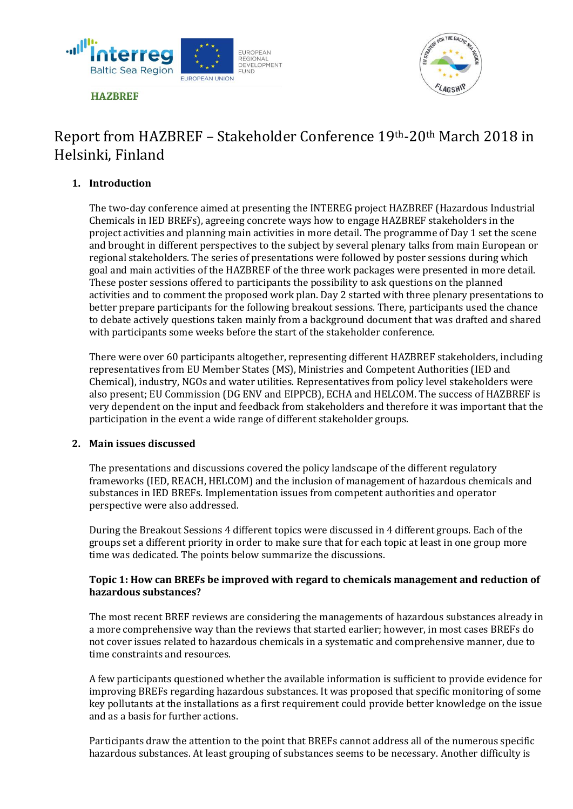



# Report from HAZBREF – Stakeholder Conference 19th-20th March 2018 in Helsinki, Finland

# **1. Introduction**

The two-day conference aimed at presenting the INTEREG project HAZBREF (Hazardous Industrial Chemicals in IED BREFs), agreeing concrete ways how to engage HAZBREF stakeholders in the project activities and planning main activities in more detail. The programme of Day 1 set the scene and brought in different perspectives to the subject by several plenary talks from main European or regional stakeholders. The series of presentations were followed by poster sessions during which goal and main activities of the HAZBREF of the three work packages were presented in more detail. These poster sessions offered to participants the possibility to ask questions on the planned activities and to comment the proposed work plan. Day 2 started with three plenary presentations to better prepare participants for the following breakout sessions. There, participants used the chance to debate actively questions taken mainly from a background document that was drafted and shared with participants some weeks before the start of the stakeholder conference.

There were over 60 participants altogether, representing different HAZBREF stakeholders, including representatives from EU Member States (MS), Ministries and Competent Authorities (IED and Chemical), industry, NGOs and water utilities. Representatives from policy level stakeholders were also present; EU Commission (DG ENV and EIPPCB), ECHA and HELCOM. The success of HAZBREF is very dependent on the input and feedback from stakeholders and therefore it was important that the participation in the event a wide range of different stakeholder groups.

## **2. Main issues discussed**

The presentations and discussions covered the policy landscape of the different regulatory frameworks (IED, REACH, HELCOM) and the inclusion of management of hazardous chemicals and substances in IED BREFs. Implementation issues from competent authorities and operator perspective were also addressed.

During the Breakout Sessions 4 different topics were discussed in 4 different groups. Each of the groups set a different priority in order to make sure that for each topic at least in one group more time was dedicated. The points below summarize the discussions.

## **Topic 1: How can BREFs be improved with regard to chemicals management and reduction of hazardous substances?**

The most recent BREF reviews are considering the managements of hazardous substances already in a more comprehensive way than the reviews that started earlier; however, in most cases BREFs do not cover issues related to hazardous chemicals in a systematic and comprehensive manner, due to time constraints and resources.

A few participants questioned whether the available information is sufficient to provide evidence for improving BREFs regarding hazardous substances. It was proposed that specific monitoring of some key pollutants at the installations as a first requirement could provide better knowledge on the issue and as a basis for further actions.

Participants draw the attention to the point that BREFs cannot address all of the numerous specific hazardous substances. At least grouping of substances seems to be necessary. Another difficulty is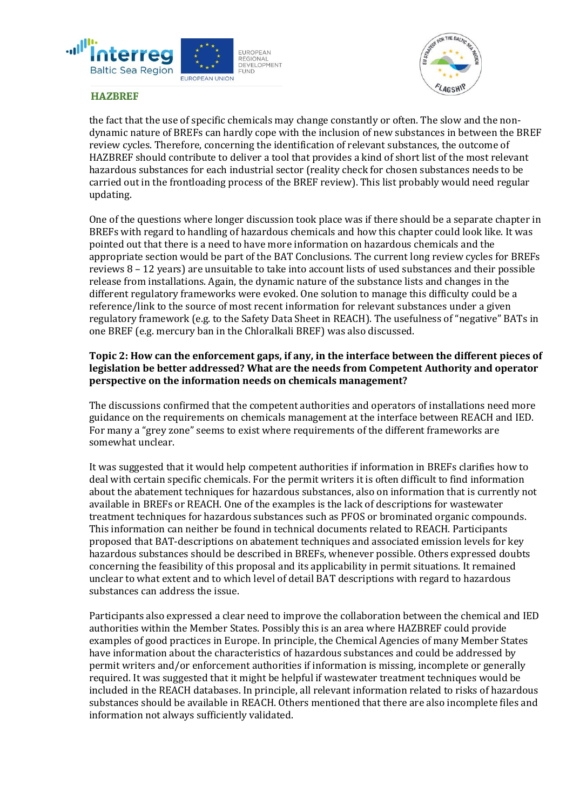



the fact that the use of specific chemicals may change constantly or often. The slow and the nondynamic nature of BREFs can hardly cope with the inclusion of new substances in between the BREF review cycles. Therefore, concerning the identification of relevant substances, the outcome of HAZBREF should contribute to deliver a tool that provides a kind of short list of the most relevant hazardous substances for each industrial sector (reality check for chosen substances needs to be carried out in the frontloading process of the BREF review). This list probably would need regular updating.

One of the questions where longer discussion took place was if there should be a separate chapter in BREFs with regard to handling of hazardous chemicals and how this chapter could look like. It was pointed out that there is a need to have more information on hazardous chemicals and the appropriate section would be part of the BAT Conclusions. The current long review cycles for BREFs reviews 8 – 12 years) are unsuitable to take into account lists of used substances and their possible release from installations. Again, the dynamic nature of the substance lists and changes in the different regulatory frameworks were evoked. One solution to manage this difficulty could be a reference/link to the source of most recent information for relevant substances under a given regulatory framework (e.g. to the Safety Data Sheet in REACH). The usefulness of "negative" BATs in one BREF (e.g. mercury ban in the Chloralkali BREF) was also discussed.

# **Topic 2: How can the enforcement gaps, if any, in the interface between the different pieces of legislation be better addressed? What are the needs from Competent Authority and operator perspective on the information needs on chemicals management?**

The discussions confirmed that the competent authorities and operators of installations need more guidance on the requirements on chemicals management at the interface between REACH and IED. For many a "grey zone" seems to exist where requirements of the different frameworks are somewhat unclear.

It was suggested that it would help competent authorities if information in BREFs clarifies how to deal with certain specific chemicals. For the permit writers it is often difficult to find information about the abatement techniques for hazardous substances, also on information that is currently not available in BREFs or REACH. One of the examples is the lack of descriptions for wastewater treatment techniques for hazardous substances such as PFOS or brominated organic compounds. This information can neither be found in technical documents related to REACH. Participants proposed that BAT-descriptions on abatement techniques and associated emission levels for key hazardous substances should be described in BREFs, whenever possible. Others expressed doubts concerning the feasibility of this proposal and its applicability in permit situations. It remained unclear to what extent and to which level of detail BAT descriptions with regard to hazardous substances can address the issue.

Participants also expressed a clear need to improve the collaboration between the chemical and IED authorities within the Member States. Possibly this is an area where HAZBREF could provide examples of good practices in Europe. In principle, the Chemical Agencies of many Member States have information about the characteristics of hazardous substances and could be addressed by permit writers and/or enforcement authorities if information is missing, incomplete or generally required. It was suggested that it might be helpful if wastewater treatment techniques would be included in the REACH databases. In principle, all relevant information related to risks of hazardous substances should be available in REACH. Others mentioned that there are also incomplete files and information not always sufficiently validated.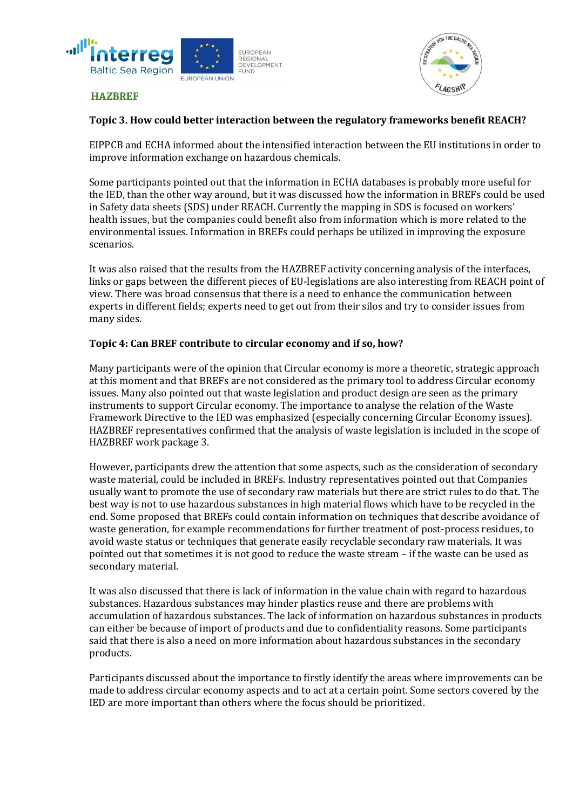



## **Topic 3. How could better interaction between the regulatory frameworks benefit REACH?**

EIPPCB and ECHA informed about the intensified interaction between the EU institutions in order to improve information exchange on hazardous chemicals.

Some participants pointed out that the information in ECHA databases is probably more useful for the IED, than the other way around, but it was discussed how the information in BREFs could be used in Safety data sheets (SDS) under REACH. Currently the mapping in SDS is focused on workers' health issues, but the companies could benefit also from information which is more related to the environmental issues. Information in BREFs could perhaps be utilized in improving the exposure scenarios.

It was also raised that the results from the HAZBREF activity concerning analysis of the interfaces, links or gaps between the different pieces of EU-legislations are also interesting from REACH point of view. There was broad consensus that there is a need to enhance the communication between experts in different fields; experts need to get out from their silos and try to consider issues from many sides.

#### **Topic 4: Can BREF contribute to circular economy and if so, how?**

Many participants were of the opinion that Circular economy is more a theoretic, strategic approach at this moment and that BREFs are not considered as the primary tool to address Circular economy issues. Many also pointed out that waste legislation and product design are seen as the primary instruments to support Circular economy. The importance to analyse the relation of the Waste Framework Directive to the IED was emphasized (especially concerning Circular Economy issues). HAZBREF representatives confirmed that the analysis of waste legislation is included in the scope of HAZBREF work package 3.

However, participants drew the attention that some aspects, such as the consideration of secondary waste material, could be included in BREFs. Industry representatives pointed out that Companies usually want to promote the use of secondary raw materials but there are strict rules to do that. The best way is not to use hazardous substances in high material flows which have to be recycled in the end. Some proposed that BREFs could contain information on techniques that describe avoidance of waste generation, for example recommendations for further treatment of post-process residues, to avoid waste status or techniques that generate easily recyclable secondary raw materials. It was pointed out that sometimes it is not good to reduce the waste stream – if the waste can be used as secondary material.

It was also discussed that there is lack of information in the value chain with regard to hazardous substances. Hazardous substances may hinder plastics reuse and there are problems with accumulation of hazardous substances. The lack of information on hazardous substances in products can either be because of import of products and due to confidentiality reasons. Some participants said that there is also a need on more information about hazardous substances in the secondary products.

Participants discussed about the importance to firstly identify the areas where improvements can be made to address circular economy aspects and to act at a certain point. Some sectors covered by the IED are more important than others where the focus should be prioritized.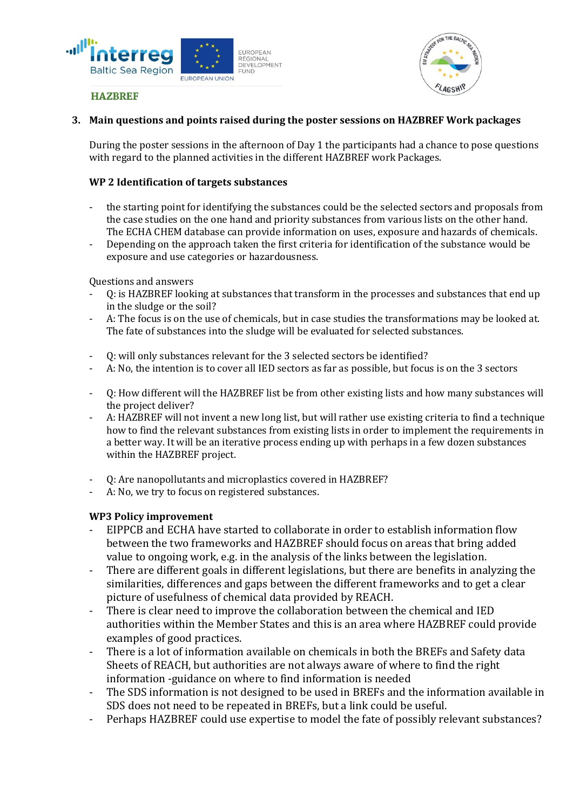



## **3. Main questions and points raised during the poster sessions on HAZBREF Work packages**

During the poster sessions in the afternoon of Day 1 the participants had a chance to pose questions with regard to the planned activities in the different HAZBREF work Packages.

# **WP 2 Identification of targets substances**

- the starting point for identifying the substances could be the selected sectors and proposals from the case studies on the one hand and priority substances from various lists on the other hand. The ECHA CHEM database can provide information on uses, exposure and hazards of chemicals.
- Depending on the approach taken the first criteria for identification of the substance would be exposure and use categories or hazardousness.

Questions and answers

- Q: is HAZBREF looking at substances that transform in the processes and substances that end up in the sludge or the soil?
- A: The focus is on the use of chemicals, but in case studies the transformations may be looked at. The fate of substances into the sludge will be evaluated for selected substances.
- Q: will only substances relevant for the 3 selected sectors be identified?
- A: No, the intention is to cover all IED sectors as far as possible, but focus is on the 3 sectors
- Q: How different will the HAZBREF list be from other existing lists and how many substances will the project deliver?
- A: HAZBREF will not invent a new long list, but will rather use existing criteria to find a technique how to find the relevant substances from existing lists in order to implement the requirements in a better way. It will be an iterative process ending up with perhaps in a few dozen substances within the HAZBREF project.
- Q: Are nanopollutants and microplastics covered in HAZBREF?
- A: No, we try to focus on registered substances.

## **WP3 Policy improvement**

- EIPPCB and ECHA have started to collaborate in order to establish information flow between the two frameworks and HAZBREF should focus on areas that bring added value to ongoing work, e.g. in the analysis of the links between the legislation.
- There are different goals in different legislations, but there are benefits in analyzing the similarities, differences and gaps between the different frameworks and to get a clear picture of usefulness of chemical data provided by REACH.
- There is clear need to improve the collaboration between the chemical and IED authorities within the Member States and this is an area where HAZBREF could provide examples of good practices.
- There is a lot of information available on chemicals in both the BREFs and Safety data Sheets of REACH, but authorities are not always aware of where to find the right information -guidance on where to find information is needed
- The SDS information is not designed to be used in BREFs and the information available in SDS does not need to be repeated in BREFs, but a link could be useful.
- Perhaps HAZBREF could use expertise to model the fate of possibly relevant substances?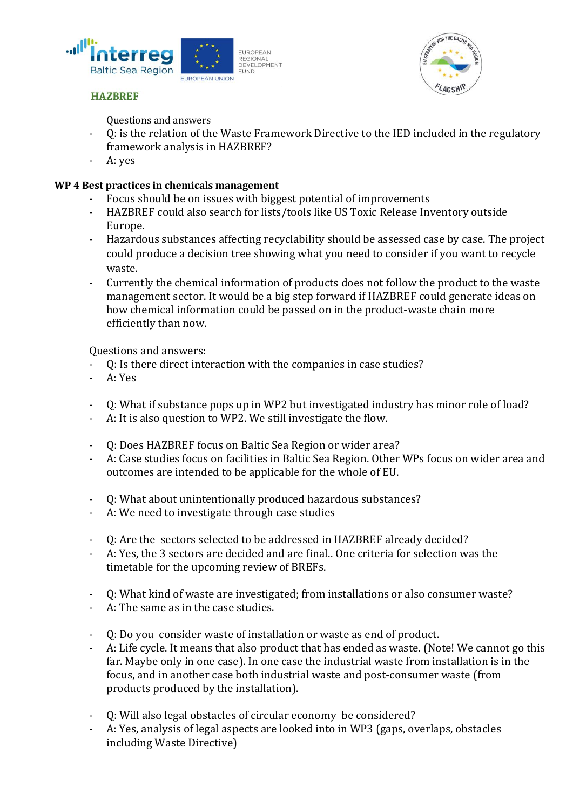



Questions and answers

- Q: is the relation of the Waste Framework Directive to the IED included in the regulatory framework analysis in HAZBREF?
- A: yes

# **WP 4 Best practices in chemicals management**

- Focus should be on issues with biggest potential of improvements
- HAZBREF could also search for lists/tools like US Toxic Release Inventory outside Europe.
- Hazardous substances affecting recyclability should be assessed case by case. The project could produce a decision tree showing what you need to consider if you want to recycle waste.
- Currently the chemical information of products does not follow the product to the waste management sector. It would be a big step forward if HAZBREF could generate ideas on how chemical information could be passed on in the product-waste chain more efficiently than now.

Questions and answers:

- Q: Is there direct interaction with the companies in case studies?
- A: Yes
- Q: What if substance pops up in WP2 but investigated industry has minor role of load?
- A: It is also question to WP2. We still investigate the flow.
- Q: Does HAZBREF focus on Baltic Sea Region or wider area?
- A: Case studies focus on facilities in Baltic Sea Region. Other WPs focus on wider area and outcomes are intended to be applicable for the whole of EU.
- Q: What about unintentionally produced hazardous substances?
- A: We need to investigate through case studies
- Q: Are the sectors selected to be addressed in HAZBREF already decided?
- A: Yes, the 3 sectors are decided and are final.. One criteria for selection was the timetable for the upcoming review of BREFs.
- Q: What kind of waste are investigated; from installations or also consumer waste?
- A: The same as in the case studies.
- Q: Do you consider waste of installation or waste as end of product.
- A: Life cycle. It means that also product that has ended as waste. (Note! We cannot go this far. Maybe only in one case). In one case the industrial waste from installation is in the focus, and in another case both industrial waste and post-consumer waste (from products produced by the installation).
- Q: Will also legal obstacles of circular economy be considered?
- A: Yes, analysis of legal aspects are looked into in WP3 (gaps, overlaps, obstacles including Waste Directive)